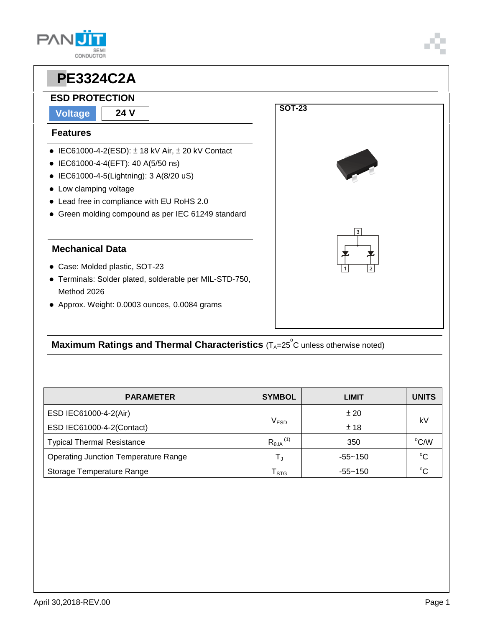## **PAN CONDUCTOR**



#### **Maximum Ratings and Thermal Characteristics** (T<sub>A</sub>=25<sup>°</sup>C unless otherwise noted)

| <b>PARAMETER</b>                            | <b>SYMBOL</b>                 | LIMIT       | <b>UNITS</b> |  |
|---------------------------------------------|-------------------------------|-------------|--------------|--|
| ESD IEC61000-4-2(Air)                       |                               | ± 20        | k٧           |  |
| ESD IEC61000-4-2(Contact)                   | $\mathsf{V}_{\mathsf{ESD}}$   | ± 18        |              |  |
| <b>Typical Thermal Resistance</b>           | $R_{\theta$ JA <sup>(1)</sup> | 350         | °C/W         |  |
| <b>Operating Junction Temperature Range</b> | $\mathsf{T}_\mathsf{J}$       | $-55 - 150$ | $^{\circ}C$  |  |
| Storage Temperature Range                   | $\mathsf{T}_{\text{STG}}$     | $-55 - 150$ | $\sim$       |  |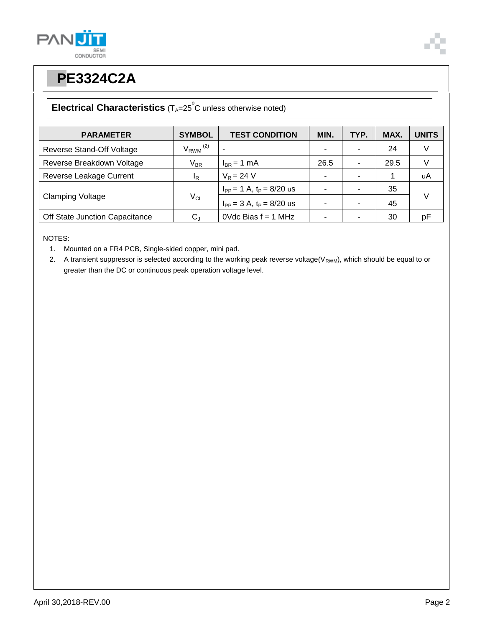



#### **Electrical Characteristics** (T<sub>A</sub>=25<sup>°</sup>C unless otherwise noted)

| <b>PARAMETER</b>               | <b>SYMBOL</b>            | <b>TEST CONDITION</b>            | MIN. | TYP. | MAX. | <b>UNITS</b> |
|--------------------------------|--------------------------|----------------------------------|------|------|------|--------------|
| Reverse Stand-Off Voltage      | $V_{RWM}$ <sup>(2)</sup> |                                  |      |      | 24   | V            |
| Reverse Breakdown Voltage      | $V_{BR}$                 | $I_{BR}$ = 1 mA                  | 26.5 |      | 29.5 |              |
| Reverse Leakage Current        | IR                       | $V_R = 24 V$                     |      |      |      | uA           |
| <b>Clamping Voltage</b>        | $V_{CL}$                 | $I_{PP} = 1$ A, $t_P = 8/20$ us  |      |      | 35   | V            |
|                                |                          | $I_{PP} = 3 A$ , $t_P = 8/20$ us |      |      | 45   |              |
| Off State Junction Capacitance | $\rm C_J$                | $0$ Vdc Bias $f = 1$ MHz         |      |      | 30   | рF           |

NOTES:

1. Mounted on a FR4 PCB, Single-sided copper, mini pad.

2. A transient suppressor is selected according to the working peak reverse voltage( $V_{RWM}$ ), which should be equal to or greater than the DC or continuous peak operation voltage level.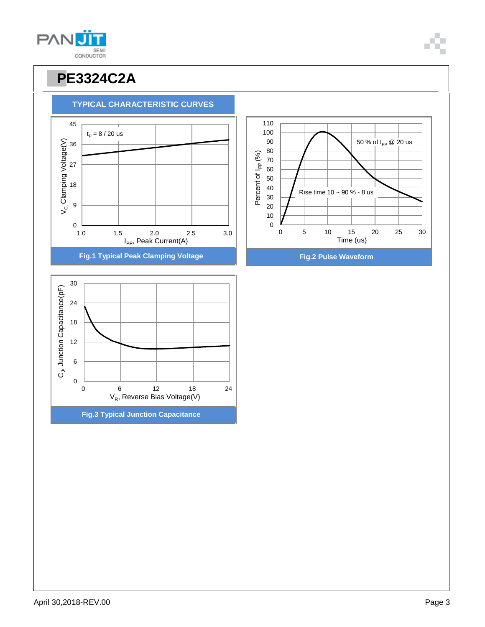

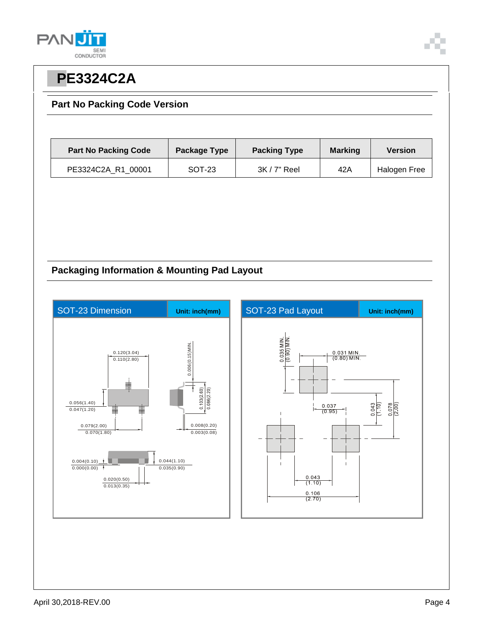



#### **Part No Packing Code Version**

| <b>Part No Packing Code</b> | Package Type | <b>Packing Type</b> | <b>Marking</b> | <b>Version</b> |
|-----------------------------|--------------|---------------------|----------------|----------------|
| PE3324C2A R1 00001          | SOT-23       | $3K/7"$ Reel        | 42A            | Halogen Free   |

#### **Packaging Information & Mounting Pad Layout**